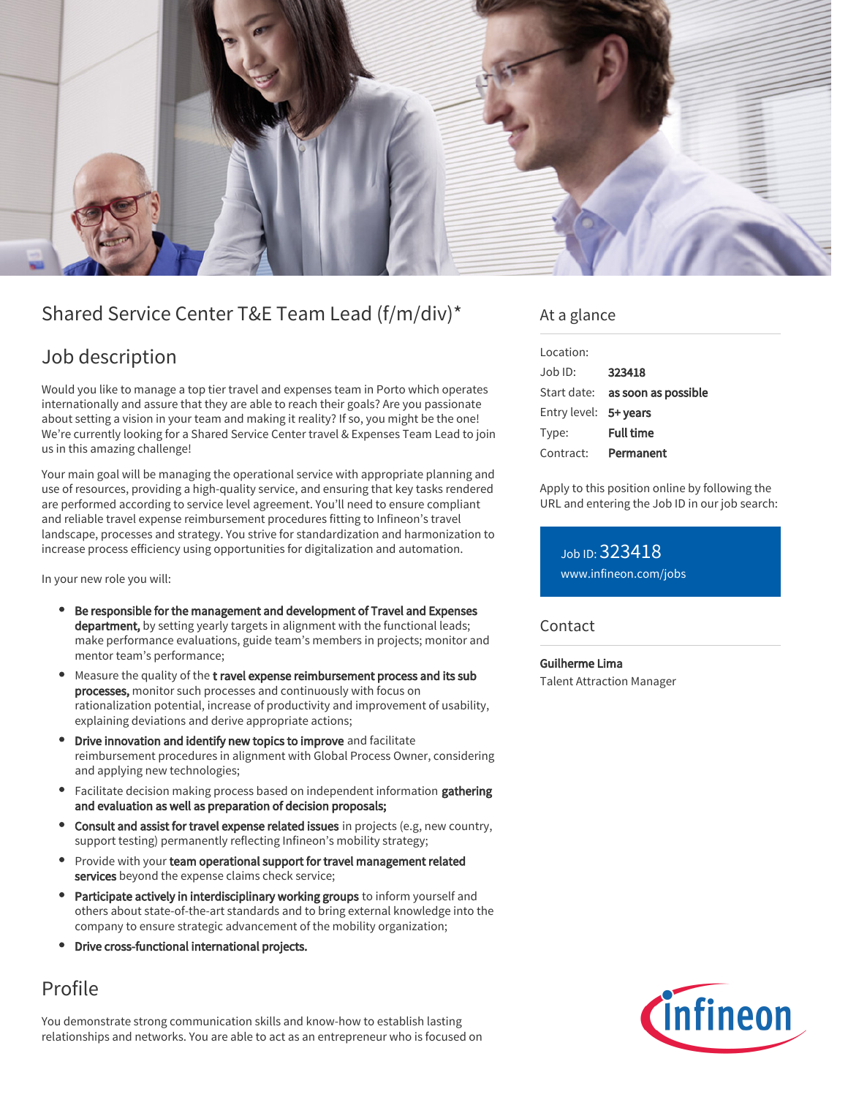

# Shared Service Center T&E Team Lead (f/m/div)\*

## Job description

Would you like to manage a top tier travel and expenses team in Porto which operates internationally and assure that they are able to reach their goals? Are you passionate about setting a vision in your team and making it reality? If so, you might be the one! We're currently looking for a Shared Service Center travel & Expenses Team Lead to join us in this amazing challenge!

Your main goal will be managing the operational service with appropriate planning and use of resources, providing a high-quality service, and ensuring that key tasks rendered are performed according to service level agreement. You'll need to ensure compliant and reliable travel expense reimbursement procedures fitting to Infineon's travel landscape, processes and strategy. You strive for standardization and harmonization to increase process efficiency using opportunities for digitalization and automation.

In your new role you will:

- Be responsible for the management and development of Travel and Expenses department, by setting yearly targets in alignment with the functional leads; make performance evaluations, guide team's members in projects; monitor and mentor team's performance;
- Measure the quality of the t ravel expense reimbursement process and its sub processes, monitor such processes and continuously with focus on rationalization potential, increase of productivity and improvement of usability, explaining deviations and derive appropriate actions;
- Drive innovation and identify new topics to improve and facilitate reimbursement procedures in alignment with Global Process Owner, considering and applying new technologies;
- Facilitate decision making process based on independent information **gathering** and evaluation as well as preparation of decision proposals;
- Consult and assist for travel expense related issues in projects (e.g. new country, support testing) permanently reflecting Infineon's mobility strategy;
- Provide with your team operational support for travel management related services beyond the expense claims check service;
- Participate actively in interdisciplinary working groups to inform yourself and others about state-of-the-art standards and to bring external knowledge into the company to ensure strategic advancement of the mobility organization;
- Drive cross-functional international projects.

# Profile

You demonstrate strong communication skills and know-how to establish lasting relationships and networks. You are able to act as an entrepreneur who is focused on

### At a glance

| Location:             |                                 |
|-----------------------|---------------------------------|
| Job ID:               | 323418                          |
|                       | Start date: as soon as possible |
| Entry level: 5+ years |                                 |
| Type:                 | <b>Full time</b>                |
| Contract:             | Permanent                       |

Apply to this position online by following the URL and entering the Job ID in our job search:

Job ID: 323418 [www.infineon.com/jobs](https://www.infineon.com/jobs)

**Contact** 

Guilherme Lima Talent Attraction Manager